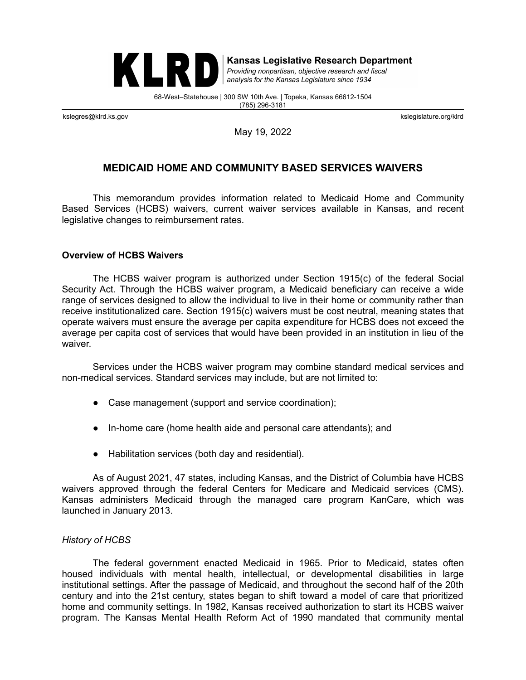

**Kansas Legislative Research Department** Providing nonpartisan, objective research and fiscal

analysis for the Kansas Legislature since 1934

68-West–Statehouse | 300 SW 10th Ave. | Topeka, Kansas 66612-1504 (785) 296-3181

kslegres@klrd.ks.gov kslegislature.org/klrd

May 19, 2022

# **MEDICAID HOME AND COMMUNITY BASED SERVICES WAIVERS**

This memorandum provides information related to Medicaid Home and Community Based Services (HCBS) waivers, current waiver services available in Kansas, and recent legislative changes to reimbursement rates.

#### **Overview of HCBS Waivers**

The HCBS waiver program is authorized under Section 1915(c) of the federal Social Security Act. Through the HCBS waiver program, a Medicaid beneficiary can receive a wide range of services designed to allow the individual to live in their home or community rather than receive institutionalized care. Section 1915(c) waivers must be cost neutral, meaning states that operate waivers must ensure the average per capita expenditure for HCBS does not exceed the average per capita cost of services that would have been provided in an institution in lieu of the waiver.

Services under the HCBS waiver program may combine standard medical services and non-medical services. Standard services may include, but are not limited to:

- Case management (support and service coordination);
- In-home care (home health aide and personal care attendants); and
- Habilitation services (both day and residential).

As of August 2021, 47 states, including Kansas, and the District of Columbia have HCBS waivers approved through the federal Centers for Medicare and Medicaid services (CMS). Kansas administers Medicaid through the managed care program KanCare, which was launched in January 2013.

### *History of HCBS*

The federal government enacted Medicaid in 1965. Prior to Medicaid, states often housed individuals with mental health, intellectual, or developmental disabilities in large institutional settings. After the passage of Medicaid, and throughout the second half of the 20th century and into the 21st century, states began to shift toward a model of care that prioritized home and community settings. In 1982, Kansas received authorization to start its HCBS waiver program. The Kansas Mental Health Reform Act of 1990 mandated that community mental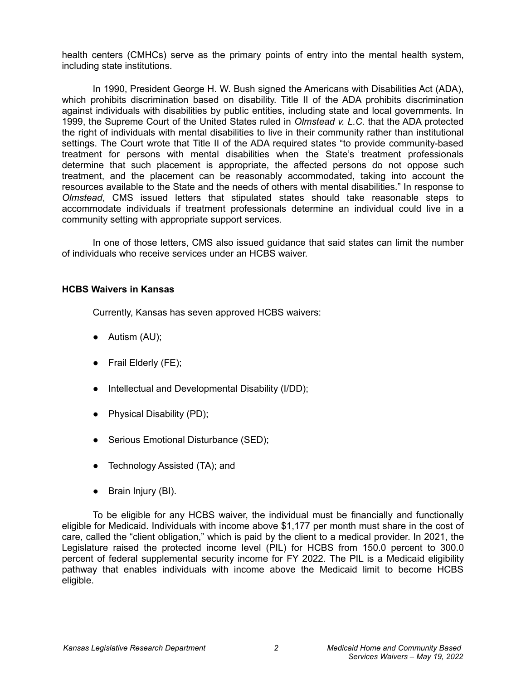health centers (CMHCs) serve as the primary points of entry into the mental health system, including state institutions.

In 1990, President George H. W. Bush signed the Americans with Disabilities Act (ADA), which prohibits discrimination based on disability. Title II of the ADA prohibits discrimination against individuals with disabilities by public entities, including state and local governments. In 1999, the Supreme Court of the United States ruled in *Olmstead v. L.C.* that the ADA protected the right of individuals with mental disabilities to live in their community rather than institutional settings. The Court wrote that Title II of the ADA required states "to provide community-based treatment for persons with mental disabilities when the State's treatment professionals determine that such placement is appropriate, the affected persons do not oppose such treatment, and the placement can be reasonably accommodated, taking into account the resources available to the State and the needs of others with mental disabilities." In response to *Olmstead*, CMS issued letters that stipulated states should take reasonable steps to accommodate individuals if treatment professionals determine an individual could live in a community setting with appropriate support services.

In one of those letters, CMS also issued guidance that said states can limit the number of individuals who receive services under an HCBS waiver.

### **HCBS Waivers in Kansas**

Currently, Kansas has seven approved HCBS waivers:

- $\bullet$  Autism (AU);
- Frail Elderly (FE);
- Intellectual and Developmental Disability (I/DD);
- Physical Disability (PD);
- Serious Emotional Disturbance (SED);
- Technology Assisted (TA); and
- Brain Injury (BI).

To be eligible for any HCBS waiver, the individual must be financially and functionally eligible for Medicaid. Individuals with income above \$1,177 per month must share in the cost of care, called the "client obligation," which is paid by the client to a medical provider. In 2021, the Legislature raised the protected income level (PIL) for HCBS from 150.0 percent to 300.0 percent of federal supplemental security income for FY 2022. The PIL is a Medicaid eligibility pathway that enables individuals with income above the Medicaid limit to become HCBS eligible.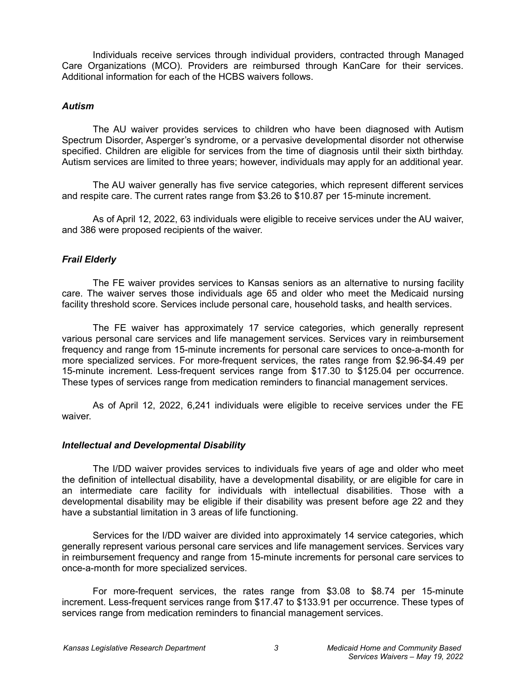Individuals receive services through individual providers, contracted through Managed Care Organizations (MCO). Providers are reimbursed through KanCare for their services. Additional information for each of the HCBS waivers follows.

### *Autism*

The AU waiver provides services to children who have been diagnosed with Autism Spectrum Disorder, Asperger's syndrome, or a pervasive developmental disorder not otherwise specified. Children are eligible for services from the time of diagnosis until their sixth birthday. Autism services are limited to three years; however, individuals may apply for an additional year.

The AU waiver generally has five service categories, which represent different services and respite care. The current rates range from \$3.26 to \$10.87 per 15-minute increment.

As of April 12, 2022, 63 individuals were eligible to receive services under the AU waiver, and 386 were proposed recipients of the waiver.

# *Frail Elderly*

The FE waiver provides services to Kansas seniors as an alternative to nursing facility care. The waiver serves those individuals age 65 and older who meet the Medicaid nursing facility threshold score. Services include personal care, household tasks, and health services.

The FE waiver has approximately 17 service categories, which generally represent various personal care services and life management services. Services vary in reimbursement frequency and range from 15-minute increments for personal care services to once-a-month for more specialized services. For more-frequent services, the rates range from \$2.96-\$4.49 per 15-minute increment. Less-frequent services range from \$17.30 to \$125.04 per occurrence. These types of services range from medication reminders to financial management services.

As of April 12, 2022, 6,241 individuals were eligible to receive services under the FE waiver.

# *Intellectual and Developmental Disability*

The I/DD waiver provides services to individuals five years of age and older who meet the definition of intellectual disability, have a developmental disability, or are eligible for care in an intermediate care facility for individuals with intellectual disabilities. Those with a developmental disability may be eligible if their disability was present before age 22 and they have a substantial limitation in 3 areas of life functioning.

Services for the I/DD waiver are divided into approximately 14 service categories, which generally represent various personal care services and life management services. Services vary in reimbursement frequency and range from 15-minute increments for personal care services to once-a-month for more specialized services.

For more-frequent services, the rates range from \$3.08 to \$8.74 per 15-minute increment. Less-frequent services range from \$17.47 to \$133.91 per occurrence. These types of services range from medication reminders to financial management services.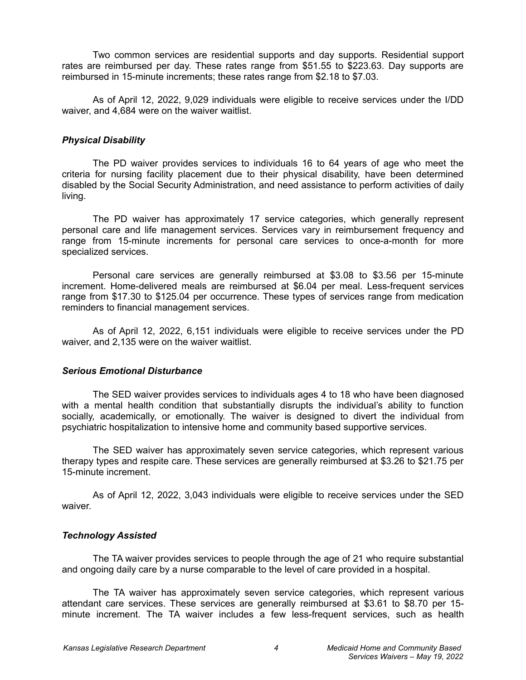Two common services are residential supports and day supports. Residential support rates are reimbursed per day. These rates range from \$51.55 to \$223.63. Day supports are reimbursed in 15-minute increments; these rates range from \$2.18 to \$7.03.

As of April 12, 2022, 9,029 individuals were eligible to receive services under the I/DD waiver, and 4,684 were on the waiver waitlist.

### *Physical Disability*

The PD waiver provides services to individuals 16 to 64 years of age who meet the criteria for nursing facility placement due to their physical disability, have been determined disabled by the Social Security Administration, and need assistance to perform activities of daily living.

The PD waiver has approximately 17 service categories, which generally represent personal care and life management services. Services vary in reimbursement frequency and range from 15-minute increments for personal care services to once-a-month for more specialized services.

Personal care services are generally reimbursed at \$3.08 to \$3.56 per 15-minute increment. Home-delivered meals are reimbursed at \$6.04 per meal. Less-frequent services range from \$17.30 to \$125.04 per occurrence. These types of services range from medication reminders to financial management services.

As of April 12, 2022, 6,151 individuals were eligible to receive services under the PD waiver, and 2,135 were on the waiver waitlist.

### *Serious Emotional Disturbance*

The SED waiver provides services to individuals ages 4 to 18 who have been diagnosed with a mental health condition that substantially disrupts the individual's ability to function socially, academically, or emotionally. The waiver is designed to divert the individual from psychiatric hospitalization to intensive home and community based supportive services.

The SED waiver has approximately seven service categories, which represent various therapy types and respite care. These services are generally reimbursed at \$3.26 to \$21.75 per 15-minute increment.

As of April 12, 2022, 3,043 individuals were eligible to receive services under the SED waiver.

# *Technology Assisted*

The TA waiver provides services to people through the age of 21 who require substantial and ongoing daily care by a nurse comparable to the level of care provided in a hospital.

The TA waiver has approximately seven service categories, which represent various attendant care services. These services are generally reimbursed at \$3.61 to \$8.70 per 15 minute increment. The TA waiver includes a few less-frequent services, such as health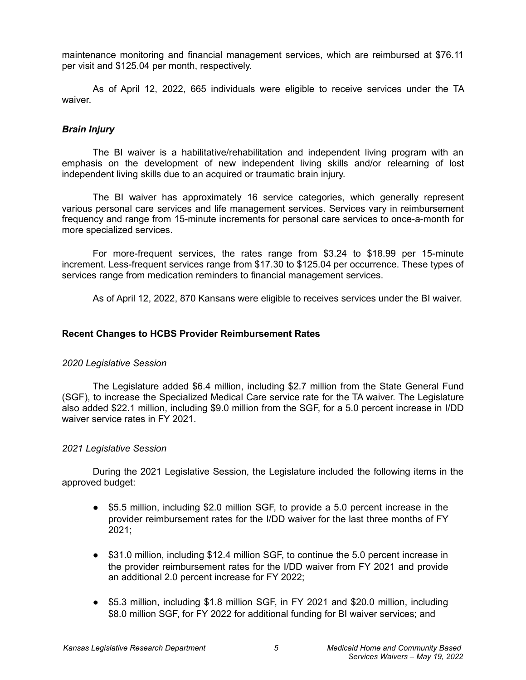maintenance monitoring and financial management services, which are reimbursed at \$76.11 per visit and \$125.04 per month, respectively.

As of April 12, 2022, 665 individuals were eligible to receive services under the TA waiver.

# *Brain Injury*

The BI waiver is a habilitative/rehabilitation and independent living program with an emphasis on the development of new independent living skills and/or relearning of lost independent living skills due to an acquired or traumatic brain injury.

The BI waiver has approximately 16 service categories, which generally represent various personal care services and life management services. Services vary in reimbursement frequency and range from 15-minute increments for personal care services to once-a-month for more specialized services.

For more-frequent services, the rates range from \$3.24 to \$18.99 per 15-minute increment. Less-frequent services range from \$17.30 to \$125.04 per occurrence. These types of services range from medication reminders to financial management services.

As of April 12, 2022, 870 Kansans were eligible to receives services under the BI waiver.

### **Recent Changes to HCBS Provider Reimbursement Rates**

# *2020 Legislative Session*

The Legislature added \$6.4 million, including \$2.7 million from the State General Fund (SGF), to increase the Specialized Medical Care service rate for the TA waiver. The Legislature also added \$22.1 million, including \$9.0 million from the SGF, for a 5.0 percent increase in I/DD waiver service rates in FY 2021.

### *2021 Legislative Session*

During the 2021 Legislative Session, the Legislature included the following items in the approved budget:

- \$5.5 million, including \$2.0 million SGF, to provide a 5.0 percent increase in the provider reimbursement rates for the I/DD waiver for the last three months of FY 2021;
- \$31.0 million, including \$12.4 million SGF, to continue the 5.0 percent increase in the provider reimbursement rates for the I/DD waiver from FY 2021 and provide an additional 2.0 percent increase for FY 2022;
- \$5.3 million, including \$1.8 million SGF, in FY 2021 and \$20.0 million, including \$8.0 million SGF, for FY 2022 for additional funding for BI waiver services; and